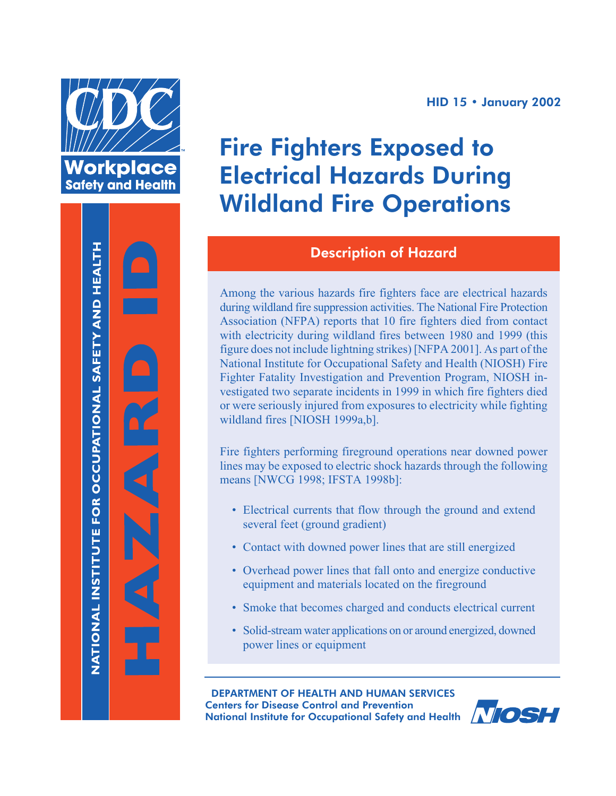



#### **HID 15 • January 2002**

# Fire Fighters Exposed to Electrical Hazards During Wildland Fire Operations

## Description of Hazard

Among the various hazards fire fighters face are electrical hazards during wildland fire suppression activities. The National Fire Protection Association (NFPA) reports that 10 fire fighters died from contact with electricity during wildland fires between 1980 and 1999 (this figure does not include lightning strikes) [NFPA 2001]. As part of the National Institute for Occupational Safety and Health (NIOSH) Fire Fighter Fatality Investigation and Prevention Program, NIOSH investigated two separate incidents in 1999 in which fire fighters died or were seriously injured from exposures to electricity while fighting wildland fires [NIOSH 1999a,b].

Fire fighters performing fireground operations near downed power lines may be exposed to electric shock hazards through the following means [NWCG 1998; IFSTA 1998b]:

- Electrical currents that flow through the ground and extend several feet (ground gradient)
- Contact with downed power lines that are still energized
- Overhead power lines that fall onto and energize conductive equipment and materials located on the fireground
- Smoke that becomes charged and conducts electrical current
- Solid-stream water applications on or around energized, downed power lines or equipment

DEPARTMENT OF HEALTH AND HUMAN SERVICES Centers for Disease Control and Prevention National Institute for Occupational Safety and Health

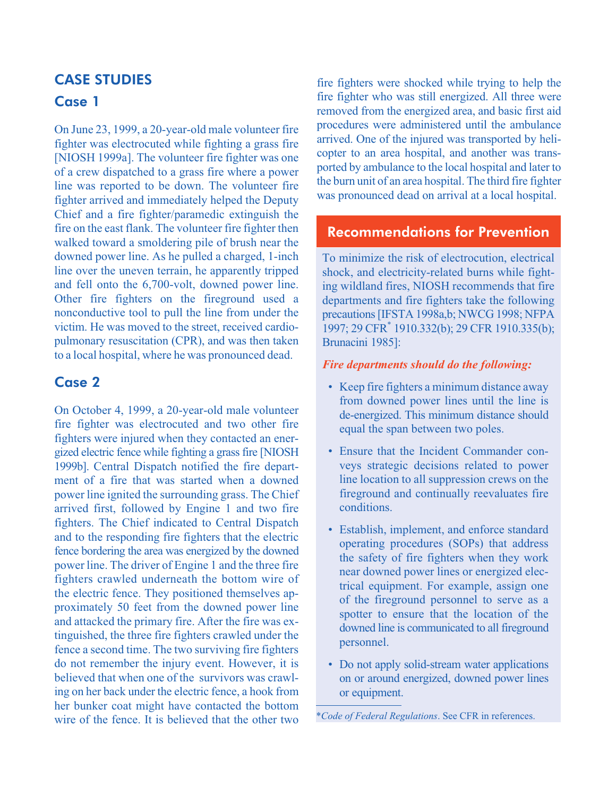## CASE **STUDIES** Case 1

On June 23, 1999, a 20-year-old male volunteer fire fighter was electrocuted while fighting a grass fire [NIOSH 1999a]. The volunteer fire fighter was one of a crew dispatched to a grass fire where a power line was reported to be down. The volunteer fire fighter arrived and immediately helped the Deputy Chief and a fire fighter/paramedic extinguish the fire on the east flank. The volunteer fire fighter then walked toward a smoldering pile of brush near the downed power line. As he pulled a charged, 1-inch line over the uneven terrain, he apparently tripped and fell onto the 6,700-volt, downed power line. Other fire fighters on the fireground used a nonconductive tool to pull the line from under the victim. He was moved to the street, received cardiopulmonary resuscitation (CPR), and was then taken to a local hospital, where he was pronounced dead.

## Case 2

On October 4, 1999, a 20-year-old male volunteer fire fighter was electrocuted and two other fire fighters were injured when they contacted an energized electric fence while fighting a grass fire [NIOSH] 1999b]. Central Dispatch notified the fire department of a fire that was started when a downed power line ignited the surrounding grass. The Chief arrived first, followed by Engine 1 and two fire fighters. The Chief indicated to Central Dispatch and to the responding fire fighters that the electric fence bordering the area was energized by the downed power line. The driver of Engine 1 and the three fire fighters crawled underneath the bottom wire of the electric fence. They positioned themselves approximately 50 feet from the downed power line and attacked the primary fire. After the fire was extinguished, the three fire fighters crawled under the fence a second time. The two surviving fire fighters do not remember the injury event. However, it is believed that when one of the survivors was crawling on her back under the electric fence, a hook from her bunker coat might have contacted the bottom wire of the fence. It is believed that the other two

fire fighters were shocked while trying to help the fire fighter who was still energized. All three were removed from the energized area, and basic first aid procedures were administered until the ambulance arrived. One of the injured was transported by helicopter to an area hospital, and another was transported by ambulance to the local hospital and later to the burn unit of an area hospital. The third fire fighter was pronounced dead on arrival at a local hospital.

## Recommendations for Prevention

To minimize the risk of electrocution, electrical shock, and electricity-related burns while fighting wildland fires, NIOSH recommends that fire departments and fire fighters take the following precautions [IFSTA 1998a,b; NWCG 1998; NFPA 1997; 29 CFR\* 1910.332(b); 29 CFR 1910.335(b); Brunacini 1985]:

#### *Fire departments should do the following:*

- Keep fire fighters a minimum distance away from downed power lines until the line is de-energized. This minimum distance should equal the span between two poles.
- Ensure that the Incident Commander conveys strategic decisions related to power line location to all suppression crews on the fireground and continually reevaluates fire conditions.
- Establish, implement, and enforce standard operating procedures (SOPs) that address the safety of fire fighters when they work near downed power lines or energized electrical equipment. For example, assign one of the fireground personnel to serve as a spotter to ensure that the location of the downed line is communicated to all fireground personnel.
- Do not apply solid-stream water applications on or around energized, downed power lines or equipment.

\**Code of Federal Regulations*. See CFR in references.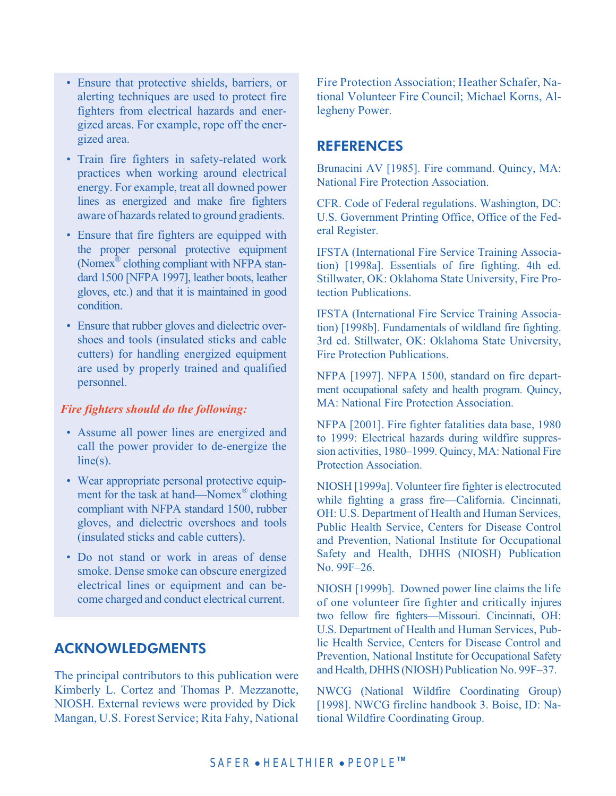- • Ensure that protective shields, barriers, or alerting techniques are used to protect fire fighters from electrical hazards and energized areas. For example, rope off the energized area.
- Train fire fighters in safety-related work practices when working around electrical energy. For example, treat all downed power lines as energized and make fire fighters aware of hazards related to ground gradients.
- Ensure that fire fighters are equipped with the proper personal protective equipment (Nomex® clothing compliant with NFPA standard 1500 [NFPA 1997], leather boots, leather gloves, etc.) and that it is maintained in good condition.
- Ensure that rubber gloves and dielectric overshoes and tools (insulated sticks and cable cutters) for handling energized equipment are used by properly trained and qualified personnel.

#### *Fire fighters should do the following:*

- Assume all power lines are energized and call the power provider to de-energize the line(s).
- Wear appropriate personal protective equipment for the task at hand—Nomex<sup>®</sup> clothing compliant with NFPA standard 1500, rubber gloves, and dielectric overshoes and tools (insulated sticks and cable cutters).
- Do not stand or work in areas of dense smoke. Dense smoke can obscure energized electrical lines or equipment and can become charged and conduct electrical current.

#### ACKNOWLEDGMENTS

The principal contributors to this publication were Kimberly L. Cortez and Thomas P. Mezzanotte, NIOSH. External reviews were provided by Dick Mangan, U.S. Forest Service; Rita Fahy, National Fire Protection Association; Heather Schafer, National Volunteer Fire Council; Michael Korns, Allegheny Power.

#### REFERENCES

Brunacini AV [1985]. Fire command. Quincy, MA: National Fire Protection Association.

CFR. Code of Federal regulations. Washington, DC: U.S. Government Printing Office, Office of the Federal Register.

IFSTA (International Fire Service Training Association) [1998a]. Essentials of fire fighting. 4th ed. Stillwater, OK: Oklahoma State University, Fire Protection Publications.

IFSTA (International Fire Service Training Association) [1998b]. Fundamentals of wildland fire fighting. 3rd ed. Stillwater, OK: Oklahoma State University, Fire Protection Publications.

NFPA [1997]. NFPA 1500, standard on fire department occupational safety and health program. Quincy, MA: National Fire Protection Association.

NFPA [2001]. Fire fighter fatalities data base, 1980 to 1999: Electrical hazards during wildfire suppression activities, 1980–1999. Quincy, MA: National Fire Protection Association.

NIOSH [1999a]. Volunteer fire fighter is electrocuted while fighting a grass fire—California. Cincinnati, OH: U.S. Department of Health and Human Services, Public Health Service, Centers for Disease Control and Prevention, National Institute for Occupational Safety and Health, DHHS (NIOSH) Publication No. 99F–26.

NIOSH [1999b]. Downed power line claims the life of one volunteer fire fighter and critically injures two fellow fire fighters—Missouri. Cincinnati, OH: U.S. Department of Health and Human Services, Public Health Service, Centers for Disease Control and Prevention, National Institute for Occupational Safety and Health, DHHS (NIOSH) Publication No. 99F–37.

NWCG (National Wildfire Coordinating Group) [1998]. NWCG fireline handbook 3. Boise, ID: National Wildfire Coordinating Group.